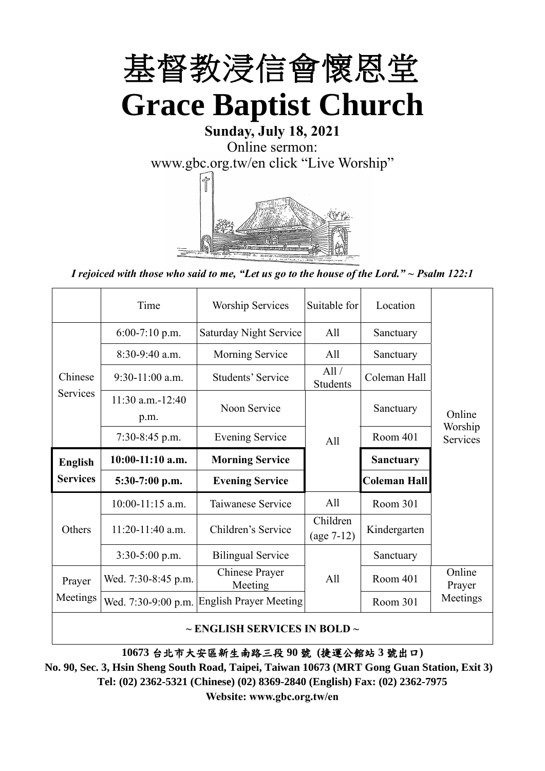

# **Sunday, July 18, 2021** Online sermon: [www.gbc.org.tw/en](http://www.gbc.org.tw/en) click "Live Worship"



*I rejoiced with those who said to me, "Let us go to the house of the Lord." ~ Psalm 122:1*

|                 | Time                          | <b>Worship Services</b>       | Suitable for             | Location            |                     |
|-----------------|-------------------------------|-------------------------------|--------------------------|---------------------|---------------------|
|                 | $6:00-7:10$ p.m.              | <b>Saturday Night Service</b> | All                      | Sanctuary           |                     |
|                 | $8:30-9:40$ a.m.              | Morning Service               | All                      | Sanctuary           |                     |
| Chinese         | $9:30-11:00$ a.m.             | Students' Service             | All/<br><b>Students</b>  | Coleman Hall        |                     |
| Services        | $11:30$ a.m. $-12:40$<br>p.m. | Noon Service                  |                          | Sanctuary           | Online              |
|                 | $7:30-8:45$ p.m.              | <b>Evening Service</b>        | All                      | Room 401            | Worship<br>Services |
| <b>English</b>  | $10:00-11:10$ a.m.            | <b>Morning Service</b>        |                          | <b>Sanctuary</b>    |                     |
| <b>Services</b> |                               |                               |                          |                     |                     |
|                 | 5:30-7:00 p.m.                | <b>Evening Service</b>        |                          | <b>Coleman Hall</b> |                     |
|                 | $10:00-11:15$ a.m.            | Taiwanese Service             | All                      | Room 301            |                     |
| Others          | $11:20-11:40$ a.m.            | Children's Service            | Children<br>$(age 7-12)$ | Kindergarten        |                     |
|                 | $3:30-5:00$ p.m.              | <b>Bilingual Service</b>      |                          | Sanctuary           |                     |
| Prayer          | Wed. 7:30-8:45 p.m.           | Chinese Prayer<br>Meeting     | A11                      | Room 401            | Online<br>Prayer    |
| Meetings        | Wed. 7:30-9:00 p.m.           | <b>English Prayer Meeting</b> |                          | Room 301            | Meetings            |

**10673** 台北市大安區新生南路三段 **90** 號 **(**捷運公館站 **3** 號出口**)**

**No. 90, Sec. 3, Hsin Sheng South Road, Taipei, Taiwan 10673 (MRT Gong Guan Station, Exit 3) Tel: (02) 2362-5321 (Chinese) (02) 8369-2840 (English) Fax: (02) 2362-7975**

**Website: www.gbc.org.tw/en**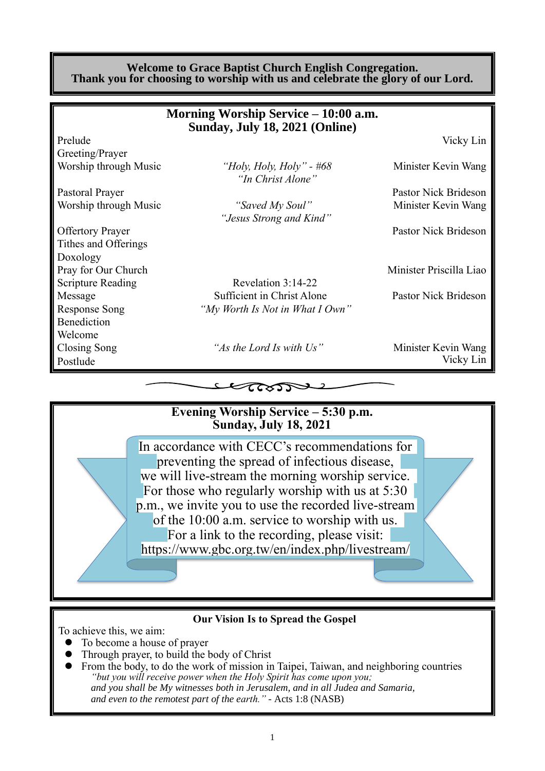#### **Welcome to Grace Baptist Church English Congregation. Thank you for choosing to worship with us and celebrate the glory of our Lord.**

|                          | Morning Worship Service – 10:00 a.m.<br>Sunday, July 18, 2021 (Online) |                         |
|--------------------------|------------------------------------------------------------------------|-------------------------|
| Prelude                  |                                                                        | Vicky Lin               |
| Greeting/Prayer          |                                                                        |                         |
| Worship through Music    | "Holy, Holy, Holy" - #68<br>"In Christ Alone"                          | Minister Kevin Wang     |
| Pastoral Prayer          |                                                                        | Pastor Nick Brideson    |
| Worship through Music    | "Saved My Soul"                                                        | Minister Kevin Wang     |
|                          | "Jesus Strong and Kind"                                                |                         |
| <b>Offertory Prayer</b>  |                                                                        | Pastor Nick Brideson    |
| Tithes and Offerings     |                                                                        |                         |
| Doxology                 |                                                                        |                         |
| Pray for Our Church      |                                                                        | Minister Priscilla Liao |
| <b>Scripture Reading</b> | Revelation 3:14-22                                                     |                         |
| Message                  | Sufficient in Christ Alone                                             | Pastor Nick Brideson    |
| <b>Response Song</b>     | "My Worth Is Not in What I Own"                                        |                         |
| Benediction              |                                                                        |                         |
| Welcome                  |                                                                        |                         |
| Closing Song             | "As the Lord Is with Us"                                               | Minister Kevin Wang     |
| Postlude                 |                                                                        | Vicky Lin               |
|                          | 2522                                                                   |                         |



#### **Our Vision Is to Spread the Gospel**

To achieve this, we aim:

- ⚫ To become a house of prayer
- ⚫ Through prayer, to build the body of Christ
- ⚫ From the body, to do the work of mission in Taipei, Taiwan, and neighboring countries *"but you will receive power when the Holy Spirit has come upon you; and you shall be My witnesses both in Jerusalem, and in all Judea and Samaria, and even to the remotest part of the earth." -* Acts 1:8 (NASB)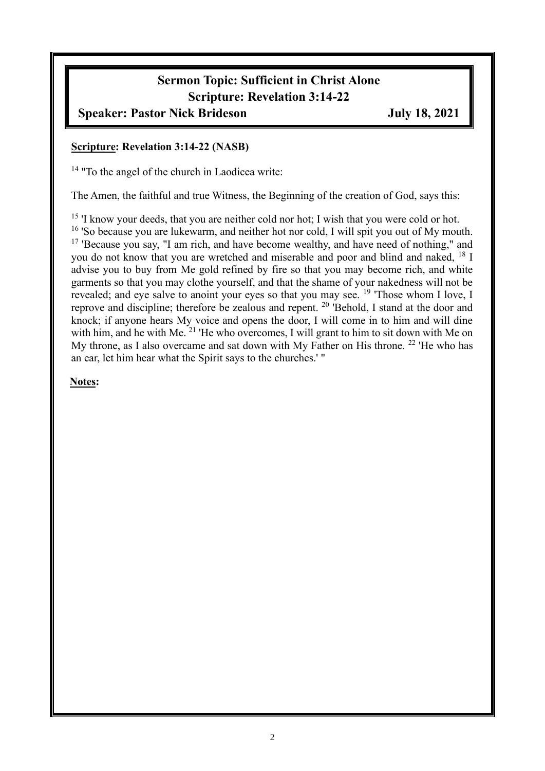## **Sermon Topic: Sufficient in Christ Alone Scripture: Revelation 3:14-22**

### **Speaker: Pastor Nick Brideson July 18, 2021**

#### **Scripture: Revelation 3:14-22 (NASB)**

<sup>14</sup> "To the angel of the church in Laodicea write:

The Amen, the faithful and true Witness, the Beginning of the creation of God, says this:

<sup>15</sup> 'I know your deeds, that you are neither cold nor hot; I wish that you were cold or hot. <sup>16</sup> 'So because you are lukewarm, and neither hot nor cold, I will spit you out of My mouth. <sup>17</sup> 'Because you say, "I am rich, and have become wealthy, and have need of nothing," and you do not know that you are wretched and miserable and poor and blind and naked, <sup>18</sup> I advise you to buy from Me gold refined by fire so that you may become rich, and white garments so that you may clothe yourself, and that the shame of your nakedness will not be revealed; and eye salve to anoint your eyes so that you may see. <sup>19</sup> 'Those whom I love, I reprove and discipline; therefore be zealous and repent. <sup>20</sup> 'Behold, I stand at the door and knock; if anyone hears My voice and opens the door, I will come in to him and will dine with him, and he with Me. <sup>21</sup> 'He who overcomes, I will grant to him to sit down with Me on My throne, as I also overcame and sat down with My Father on His throne. <sup>22</sup> 'He who has an ear, let him hear what the Spirit says to the churches.' "

**Notes:**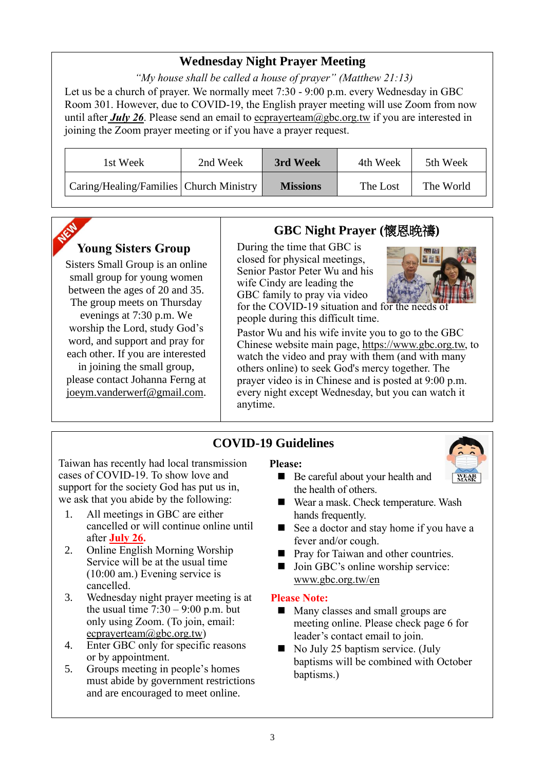### **Wednesday Night Prayer Meeting**

*"My house shall be called a house of prayer" (Matthew 21:13)* Let us be a church of prayer. We normally meet 7:30 - 9:00 p.m. every Wednesday in GBC Room 301. However, due to COVID-19, the English prayer meeting will use Zoom from now until after *July 26*. Please send an email to ecprayerteam@gbc.org.tw if you are interested in joining the Zoom prayer meeting or if you have a prayer request.

| 1st Week                                | 2nd Week | 3rd Week        | 4th Week | 5th Week  |
|-----------------------------------------|----------|-----------------|----------|-----------|
| Caring/Healing/Families Church Ministry |          | <b>Missions</b> | The Lost | The World |

### **Young Sisters Group**

Sisters Small Group is an online small group for young women between the ages of 20 and 35. The group meets on Thursday evenings at 7:30 p.m. We worship the Lord, study God's word, and support and pray for each other. If you are interested in joining the small group, please contact Johanna Ferng at [joeym.vanderwerf@gmail.com.](mailto:joeym.vanderwerf@gmail.com)

### **GBC Night Prayer (**懷恩晚禱**)**

During the time that GBC is closed for physical meetings, Senior Pastor Peter Wu and his wife Cindy are leading the GBC family to pray via video



for the COVID-19 situation and for the needs of people during this difficult time.

Pastor Wu and his wife invite you to go to the GBC Chinese website main page, https://www.gbc.org.tw, to watch the video and pray with them (and with many others online) to seek God's mercy together. The prayer video is in Chinese and is posted at 9:00 p.m. every night except Wednesday, but you can watch it anytime.

### **COVID-19 Guidelines**

Taiwan has recently had local transmission cases of COVID-19. To show love and support for the society God has put us in, we ask that you abide by the following:

- 1. All meetings in GBC are either cancelled or will continue online until after **July 26.**
- 2. Online English Morning Worship Service will be at the usual time (10:00 am.) Evening service is cancelled.
- 3. Wednesday night prayer meeting is at the usual time  $7:30 - 9:00$  p.m. but only using Zoom. (To join, email: ecprayerteam@gbc.org.tw)
- 4. Enter GBC only for specific reasons or by appointment.
- 5. Groups meeting in people's homes must abide by government restrictions and are encouraged to meet online.

#### **Please:**

- Be careful about your health and the health of others.
- Wear a mask. Check temperature. Wash hands frequently.
- See a doctor and stay home if you have a fever and/or cough.
- Pray for Taiwan and other countries.
- Join GBC's online worship service: www.gbc.org.tw/en

#### **Please Note:**

- Many classes and small groups are meeting online. Please check page 6 for leader's contact email to join.
- $\blacksquare$  No July 25 baptism service. (July baptisms will be combined with October baptisms.)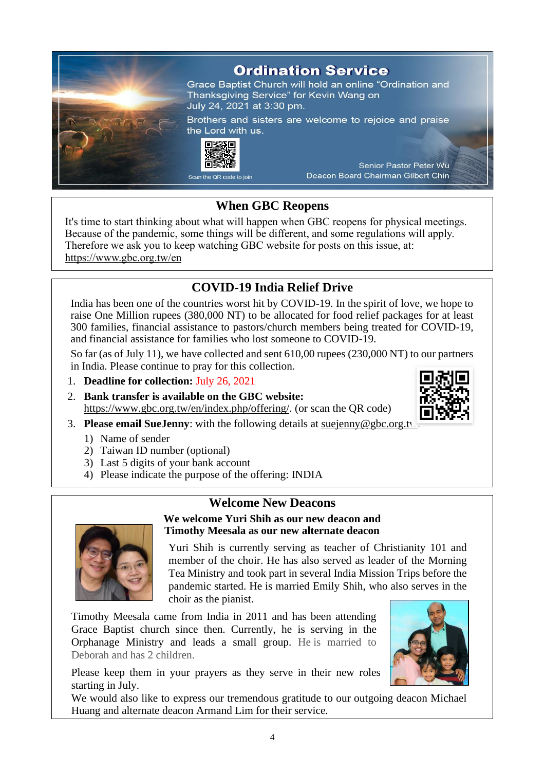

### **When GBC Reopens**

It's time to start thinking about what will happen when GBC reopens for physical meetings. Because of the pandemic, some things will be different, and some regulations will apply. Therefore we ask you to keep watching GBC website for posts on this issue, at: <https://www.gbc.org.tw/en>

### **COVID-19 India Relief Drive**

India has been one of the countries worst hit by COVID-19. In the spirit of love, we hope to raise One Million rupees (380,000 NT) to be allocated for food relief packages for at least 300 families, financial assistance to pastors/church members being treated for COVID-19, and financial assistance for families who lost someone to COVID-19.

So far (as of July 11), we have collected and sent 610,00 rupees (230,000 NT) to our partners in India. Please continue to pray for this collection.

- 1. **Deadline for collection:** July 26, 2021
- 2. **Bank transfer is available on the GBC website:** https://www.gbc.org.tw/en/index.php/offering/. (or scan the QR code)
- 3. **Please email SueJenny**: with the following details at suejenny@gbc.org.tw:
	- 1) Name of sender
	- 2) Taiwan ID number (optional)
	- 3) Last 5 digits of your bank account
	- 4) Please indicate the purpose of the offering: INDIA

#### **Welcome New Deacons**



### **We welcome Yuri Shih as our new deacon and Timothy Meesala as our new alternate deacon** Yuri Shih is currently serving as teacher of Christianity 101 and

member of the choir. He has also served as leader of the Morning Tea Ministry and took part in several India Mission Trips before the pandemic started. He is married Emily Shih, who also serves in the choir as the pianist.

Timothy Meesala came from India in 2011 and has been attending Grace Baptist church since then. Currently, he is serving in the Orphanage Ministry and leads a small group. He is married to Deborah and has 2 children.

Please keep them in your prayers as they serve in their new roles starting in July.

We would also like to express our tremendous gratitude to our outgoing deacon Michael Huang and alternate deacon Armand Lim for their service.



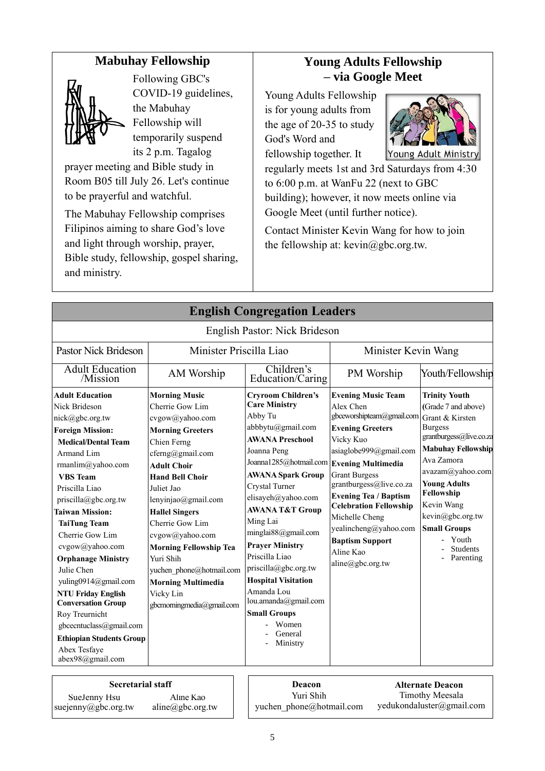### **Mabuhay Fellowship**



SueJenny Hsu suejenny@gbc.org.tw

Following GBC's COVID-19 guidelines, the Mabuhay Fellowship will temporarily suspend its 2 p.m. Tagalog

prayer meeting and Bible study in Room B05 till July 26. Let's continue to be prayerful and watchful.

The Mabuhay Fellowship comprises Filipinos aiming to share God's love and light through worship, prayer, Bible study, fellowship, gospel sharing, and ministry.

### **Young Adults Fellowship – via Google Meet**

Young Adults Fellowship is for young adults from the age of 20-35 to study God's Word and fellowship together. It



Timothy Meesala yedukondaluster@gmail.com

regularly meets 1st and 3rd Saturdays from 4:30 to 6:00 p.m. at WanFu 22 (next to GBC building); however, it now meets online via Google Meet (until further notice).

Contact Minister Kevin Wang for how to join the fellowship at:  $k$ evin $@$ gbc.org.tw.

|                                                                                                                                                                                                                                                                                                                                                                                                                                                                                                                                                             |                                                                                                                                                                                                                                                                                                                                                                                                                               | <b>English Congregation Leaders</b>                                                                                                                                                                                                                                                                                                                                                                                                                                                                         |                                                                                                                                                                                                                                                                                                                                                                 |                                                                                                                                                                                                                                                                                                                   |
|-------------------------------------------------------------------------------------------------------------------------------------------------------------------------------------------------------------------------------------------------------------------------------------------------------------------------------------------------------------------------------------------------------------------------------------------------------------------------------------------------------------------------------------------------------------|-------------------------------------------------------------------------------------------------------------------------------------------------------------------------------------------------------------------------------------------------------------------------------------------------------------------------------------------------------------------------------------------------------------------------------|-------------------------------------------------------------------------------------------------------------------------------------------------------------------------------------------------------------------------------------------------------------------------------------------------------------------------------------------------------------------------------------------------------------------------------------------------------------------------------------------------------------|-----------------------------------------------------------------------------------------------------------------------------------------------------------------------------------------------------------------------------------------------------------------------------------------------------------------------------------------------------------------|-------------------------------------------------------------------------------------------------------------------------------------------------------------------------------------------------------------------------------------------------------------------------------------------------------------------|
|                                                                                                                                                                                                                                                                                                                                                                                                                                                                                                                                                             |                                                                                                                                                                                                                                                                                                                                                                                                                               | English Pastor: Nick Brideson                                                                                                                                                                                                                                                                                                                                                                                                                                                                               |                                                                                                                                                                                                                                                                                                                                                                 |                                                                                                                                                                                                                                                                                                                   |
| <b>Pastor Nick Brideson</b>                                                                                                                                                                                                                                                                                                                                                                                                                                                                                                                                 | Minister Priscilla Liao                                                                                                                                                                                                                                                                                                                                                                                                       |                                                                                                                                                                                                                                                                                                                                                                                                                                                                                                             | Minister Kevin Wang                                                                                                                                                                                                                                                                                                                                             |                                                                                                                                                                                                                                                                                                                   |
| <b>Adult Education</b><br>/Mission                                                                                                                                                                                                                                                                                                                                                                                                                                                                                                                          | AM Worship                                                                                                                                                                                                                                                                                                                                                                                                                    | Children's<br>Education/Caring                                                                                                                                                                                                                                                                                                                                                                                                                                                                              | PM Worship                                                                                                                                                                                                                                                                                                                                                      | Youth/Fellowship                                                                                                                                                                                                                                                                                                  |
| <b>Adult Education</b><br>Nick Brideson<br>nick@gbc.org.tw<br><b>Foreign Mission:</b><br><b>Medical/Dental Team</b><br>Armand Lim<br>rmanlim@yahoo.com<br><b>VBS</b> Team<br>Priscilla Liao<br>priscilla@gbc.org.tw<br><b>Taiwan Mission:</b><br><b>TaiTung Team</b><br>Cherrie Gow Lim<br>cvgow@yahoo.com<br><b>Orphanage Ministry</b><br>Julie Chen<br>yuling0914@gmail.com<br><b>NTU Friday English</b><br><b>Conversation Group</b><br>Roy Treurnicht<br>gbcecntuclass@gmail.com<br><b>Ethiopian Students Group</b><br>Abex Tesfaye<br>abex98@gmail.com | <b>Morning Music</b><br>Cherrie Gow Lim<br>cvgow@yahoo.com<br><b>Morning Greeters</b><br>Chien Ferng<br>cferng@gmail.com<br><b>Adult Choir</b><br><b>Hand Bell Choir</b><br>Juliet Jao<br>lenyinjao@gmail.com<br><b>Hallel Singers</b><br>Cherrie Gow Lim<br>cvgow@yahoo.com<br><b>Morning Fellowship Tea</b><br>Yuri Shih<br>yuchen phone@hotmail.com<br><b>Morning Multimedia</b><br>Vicky Lin<br>gbcmorningmedia@gmail.com | <b>Cryroom Children's</b><br><b>Care Ministry</b><br>Abby Tu<br>abbbytu@gmail.com<br><b>AWANA Preschool</b><br>Joanna Peng<br>Joanna1285@hotmail.com Evening Multimedia<br><b>AWANA Spark Group</b><br>Crystal Turner<br>elisayeh@yahoo.com<br><b>AWANA T&amp;T Group</b><br>Ming Lai<br>minglai88@gmail.com<br><b>Prayer Ministry</b><br>Priscilla Liao<br>priscilla@gbc.org.tw<br><b>Hospital Visitation</b><br>Amanda Lou<br>lou.amanda@gmail.com<br><b>Small Groups</b><br>Women<br>General<br>Ministry | <b>Evening Music Team</b><br>Alex Chen<br>gbceworshipteam@gmail.com<br><b>Evening Greeters</b><br>Vicky Kuo<br>asiaglobe999@gmail.com<br><b>Grant Burgess</b><br>grantburgess@live.co.za<br><b>Evening Tea / Baptism</b><br><b>Celebration Fellowship</b><br>Michelle Cheng<br>yealincheng@yahoo.com<br><b>Baptism Support</b><br>Aline Kao<br>aline@gbc.org.tw | <b>Trinity Youth</b><br>(Grade 7 and above)<br>Grant & Kirsten<br><b>Burgess</b><br>grantburgess@live.co.za<br><b>Mabuhay Fellowship</b><br>Ava Zamora<br>avazam@yahoo.com<br><b>Young Adults</b><br>Fellowship<br>Kevin Wang<br>kevin@gbc.org.tw<br><b>Small Groups</b><br>Youth<br><b>Students</b><br>Parenting |
| <b>Secretarial staff</b>                                                                                                                                                                                                                                                                                                                                                                                                                                                                                                                                    |                                                                                                                                                                                                                                                                                                                                                                                                                               | Deacon                                                                                                                                                                                                                                                                                                                                                                                                                                                                                                      |                                                                                                                                                                                                                                                                                                                                                                 | <b>Alternate Deacon</b>                                                                                                                                                                                                                                                                                           |

5

Aline Kao aline@gbc.org.tw

Yuri Shih yuchen\_phone@hotmail.com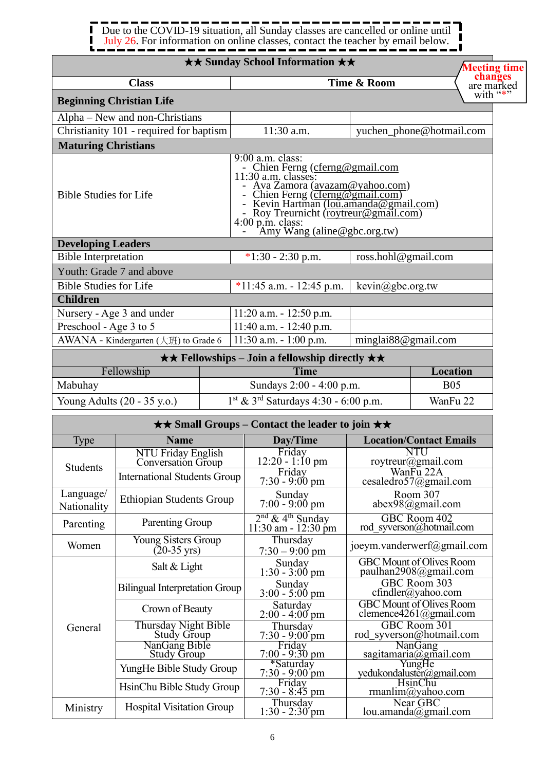#### Due to the COVID-19 situation, all Sunday classes are cancelled or online until Ĩ П July 26. For information on online classes, contact the teacher by email below. J,  $\blacksquare$

|                               |                                          | <b>★★ Sunday School Information ★★</b>                                                                                                                                                                                                                                                                    |                              | <b>Meeting tim</b>                            |  |
|-------------------------------|------------------------------------------|-----------------------------------------------------------------------------------------------------------------------------------------------------------------------------------------------------------------------------------------------------------------------------------------------------------|------------------------------|-----------------------------------------------|--|
|                               | <b>Class</b>                             |                                                                                                                                                                                                                                                                                                           | Time & Room                  | changes<br>are marked                         |  |
|                               | <b>Beginning Christian Life</b>          |                                                                                                                                                                                                                                                                                                           |                              | with "*"                                      |  |
|                               | Alpha – New and non-Christians           |                                                                                                                                                                                                                                                                                                           |                              |                                               |  |
|                               | Christianity 101 - required for baptism  | 11:30 a.m.                                                                                                                                                                                                                                                                                                |                              | yuchen_phone@hotmail.com                      |  |
| <b>Maturing Christians</b>    |                                          |                                                                                                                                                                                                                                                                                                           |                              |                                               |  |
| <b>Bible Studies for Life</b> |                                          | 9:00 a.m. class:<br>- Chien Ferng (cferng@gmail.com<br>11:30 a.m. classes:<br>- Ava Zamora (avazam@yahoo.com)<br>- Chien Ferng (cferng@gmail.com)<br>- Kevin Hartman ( <u>lou.amanda@gmail.com)</u><br>- Roy Treurnicht ( <u>roytreur@gmail.com)</u><br>4:00 p.m. class:<br>- Amy Wang (aline@gbc.org.tw) |                              |                                               |  |
| <b>Developing Leaders</b>     |                                          |                                                                                                                                                                                                                                                                                                           |                              |                                               |  |
| <b>Bible Interpretation</b>   |                                          | $*1:30 - 2:30$ p.m.                                                                                                                                                                                                                                                                                       | ross.hohl@gmail.com          |                                               |  |
|                               | Youth: Grade 7 and above                 |                                                                                                                                                                                                                                                                                                           |                              |                                               |  |
| <b>Bible Studies for Life</b> |                                          | $*11:45$ a.m. - 12:45 p.m.                                                                                                                                                                                                                                                                                | $\text{kevin}(a)$ gbc.org.tw |                                               |  |
| <b>Children</b>               |                                          |                                                                                                                                                                                                                                                                                                           |                              |                                               |  |
|                               | Nursery - Age 3 and under                | $11:20$ a.m. $-12:50$ p.m.                                                                                                                                                                                                                                                                                |                              |                                               |  |
| Preschool - Age 3 to 5        |                                          | $11:40$ a.m. - $12:40$ p.m.                                                                                                                                                                                                                                                                               |                              |                                               |  |
|                               | AWANA - Kindergarten (大班) to Grade 6     | $11:30$ a.m. $-1:00$ p.m.                                                                                                                                                                                                                                                                                 | minglai88@gmail.com          |                                               |  |
|                               |                                          | <b>★★ Fellowships – Join a fellowship directly ★★</b>                                                                                                                                                                                                                                                     |                              |                                               |  |
|                               | Fellowship                               | <b>Time</b>                                                                                                                                                                                                                                                                                               |                              | <b>Location</b>                               |  |
| Mabuhay                       |                                          | Sundays 2:00 - 4:00 p.m.                                                                                                                                                                                                                                                                                  |                              | <b>B05</b>                                    |  |
|                               | Young Adults (20 - 35 y.o.)              | 1st & 3rd Saturdays 4:30 - 6:00 p.m.                                                                                                                                                                                                                                                                      |                              | WanFu 22                                      |  |
|                               |                                          | $\star\star$ Small Groups – Contact the leader to join $\star\star$                                                                                                                                                                                                                                       |                              |                                               |  |
| Type                          | <b>Name</b>                              | Day/Time                                                                                                                                                                                                                                                                                                  |                              | <b>Location/Contact Emails</b>                |  |
| <b>Students</b>               | NTU Friday English<br>Conversation Group | Friday<br>$12:20 - 1:10$ pm                                                                                                                                                                                                                                                                               |                              | <b>NTU</b><br>roytreur@gmail.com<br>WanFu 22A |  |
|                               | <b>International Students Group</b>      | Friday<br>$7:30 - 9:00$ pm                                                                                                                                                                                                                                                                                |                              | cesaledro57@gmail.com                         |  |

|                          |                                              | $1.00 - 7.00$ pm                                      |                                                           |
|--------------------------|----------------------------------------------|-------------------------------------------------------|-----------------------------------------------------------|
| Language/<br>Nationality | <b>Ethiopian Students Group</b>              | Sunday<br>$7:00 - 9:00$ pm                            | Room 307<br>$abex98$ @gmail.com                           |
| Parenting                | Parenting Group                              | $2nd$ & 4 <sup>th</sup> Sunday<br>11:30 am - 12:30 pm | GBC Room 402<br>rod syverson@hotmail.com                  |
| Women                    | Young Sisters Group<br>$(20-35 \text{ yrs})$ | Thursday<br>$7:30 - 9:00$ pm                          | joeym.vanderwerf@gmail.com                                |
|                          | Salt & Light                                 | Sunday<br>$1:30 - 3:00$ pm                            | <b>GBC Mount of Olives Room</b><br>paulhan2908@gmail.com  |
|                          | Bilingual Interpretation Group               | Sunday<br>$3:00 - 5:00 \text{ pm}$                    | GBC Room 303<br>$cfindler(a)$ yahoo.com                   |
|                          | Crown of Beauty                              | Saturday<br>$2:00 - 4:00$ pm                          | <b>GBC</b> Mount of Olives Room<br>clemence4261@gmail.com |
| General                  | Thursday Night Bible<br><b>Study Group</b>   | Thursday<br>$7:30 - 9:00$ pm                          | GBC Room 301<br>rod syverson@hotmail.com                  |
|                          | NanGang Bible<br><b>Study Group</b>          | Friday<br>$7:00 - 9:30$ pm                            | <b>NanGang</b><br>sagitamaria@gmail.com                   |
|                          | YungHe Bible Study Group                     | *Saturday<br>$7:30 - 9:00$ pm                         | YungHe<br>yedukondaluster@gmail.com                       |
|                          | HsinChu Bible Study Group                    | Friday<br>$7:30 - 8:45$ pm                            | <b>HsinChu</b><br>rmanlim@yahoo.com                       |

 $1:30 - 2:30$  pm

Near GBC lou.amanda@gmail.com **time** 

Ministry | Hospital Visitation Group